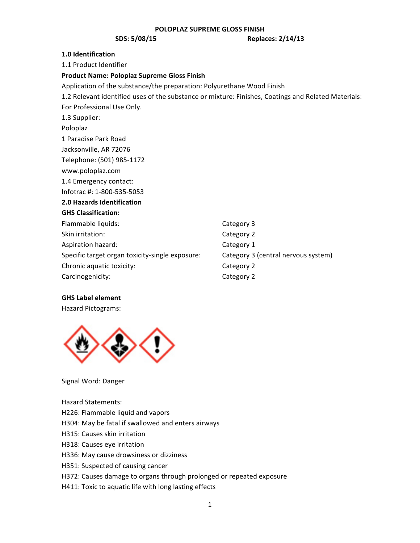**SDS:** 5/08/15 **Replaces: 2/14/13** 

## **1.0 Identification**

1.1 Product Identifier

## **Product&Name:&Poloplaz&Supreme&Gloss Finish**

Application of the substance/the preparation: Polyurethane Wood Finish 1.2 Relevant identified uses of the substance or mixture: Finishes, Coatings and Related Materials: For Professional Use Only. 1.3 Supplier: Poloplaz 1 Paradise Park Road Jacksonville, AR 72076 Telephone: (501) 985-1172 www.poloplaz.com 1.4 Emergency contact: Infotrac #: 1-800-535-5053 **2.0 Hazards Identification GHS&Classification:** Flammable liquids: Category 3 Skin irritation: Category 2 Aspiration hazard: Category 1 Specific target organ toxicity-single exposure: Category 3 (central nervous system) Chronic aquatic toxicity: Chronic aquatic toxicity: Carcinogenicity: Carcinogenicity:

# **GHS&Label element**

Hazard Pictograms:



Signal Word: Danger

Hazard Statements:

H226: Flammable liquid and vapors

H304: May be fatal if swallowed and enters airways

- H315: Causes skin irritation
- H318: Causes eye irritation
- H336: May cause drowsiness or dizziness
- H351: Suspected of causing cancer
- H372: Causes damage to organs through prolonged or repeated exposure
- H411: Toxic to aquatic life with long lasting effects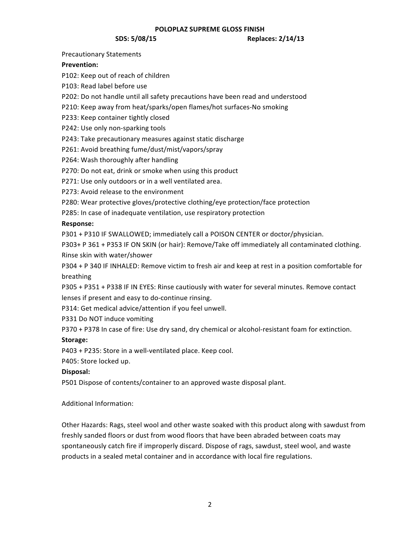**SDS:** 5/08/15 **Replaces: 2/14/13** 

Precautionary Statements

# **Prevention:**

P102: Keep out of reach of children

P103: Read label before use

P202: Do not handle until all safety precautions have been read and understood

P210: Keep away from heat/sparks/open flames/hot surfaces-No smoking

P233: Keep container tightly closed

P242: Use only non-sparking tools

P243: Take precautionary measures against static discharge

P261: Avoid breathing fume/dust/mist/vapors/spray

P264: Wash thoroughly after handling

P270: Do not eat, drink or smoke when using this product

P271: Use only outdoors or in a well ventilated area.

P273: Avoid release to the environment

P280: Wear protective gloves/protective clothing/eye protection/face protection

P285: In case of inadequate ventilation, use respiratory protection

# **Response:**

P301 + P310 IF SWALLOWED; immediately call a POISON CENTER or doctor/physician.

P303+ P 361 + P353 IF ON SKIN (or hair): Remove/Take off immediately all contaminated clothing. Rinse skin with water/shower

P304 + P 340 IF INHALED: Remove victim to fresh air and keep at rest in a position comfortable for breathing

P305 + P351 + P338 IF IN EYES: Rinse cautiously with water for several minutes. Remove contact lenses if present and easy to do-continue rinsing.

P314: Get medical advice/attention if you feel unwell.

P331 Do NOT induce vomiting

P370 + P378 In case of fire: Use dry sand, dry chemical or alcohol-resistant foam for extinction.

# **Storage:**

P403 + P235: Store in a well-ventilated place. Keep cool.

P405: Store locked up.

# **Disposal:**

P501 Dispose of contents/container to an approved waste disposal plant.

Additional Information:

Other Hazards: Rags, steel wool and other waste soaked with this product along with sawdust from freshly sanded floors or dust from wood floors that have been abraded between coats may spontaneously catch fire if improperly discard. Dispose of rags, sawdust, steel wool, and waste products in a sealed metal container and in accordance with local fire regulations.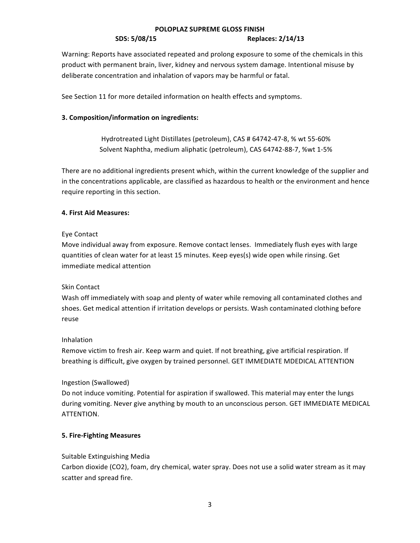Warning: Reports have associated repeated and prolong exposure to some of the chemicals in this product with permanent brain, liver, kidney and nervous system damage. Intentional misuse by deliberate concentration and inhalation of vapors may be harmful or fatal.

See Section 11 for more detailed information on health effects and symptoms.

# **3. Composition/information on ingredients:**

Hydrotreated Light Distillates (petroleum), CAS # 64742-47-8, % wt 55-60% Solvent Naphtha, medium aliphatic (petroleum), CAS 64742-88-7, %wt 1-5%

There are no additional ingredients present which, within the current knowledge of the supplier and in the concentrations applicable, are classified as hazardous to health or the environment and hence require reporting in this section.

# **4. First Aid Measures:**

# Eye Contact

Move individual away from exposure. Remove contact lenses. Immediately flush eyes with large quantities of clean water for at least 15 minutes. Keep eyes(s) wide open while rinsing. Get immediate medical attention

# Skin Contact

Wash off immediately with soap and plenty of water while removing all contaminated clothes and shoes. Get medical attention if irritation develops or persists. Wash contaminated clothing before reuse

# Inhalation

Remove victim to fresh air. Keep warm and quiet. If not breathing, give artificial respiration. If breathing is difficult, give oxygen by trained personnel. GET IMMEDIATE MDEDICAL ATTENTION

# Ingestion (Swallowed)

Do not induce vomiting. Potential for aspiration if swallowed. This material may enter the lungs during vomiting. Never give anything by mouth to an unconscious person. GET IMMEDIATE MEDICAL ATTENTION.

# **5. Fire-Fighting Measures**

# Suitable Extinguishing"Media

Carbon dioxide (CO2), foam, dry chemical, water spray. Does not use a solid water stream as it may scatter and spread fire.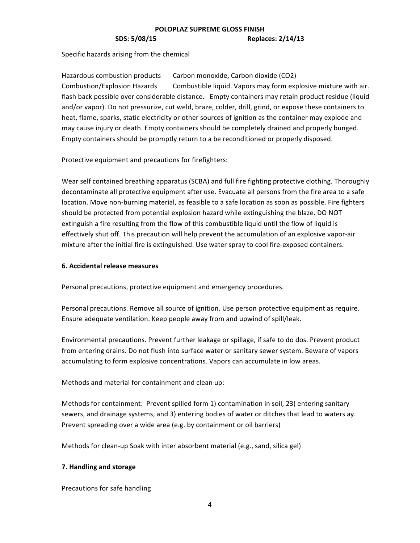Specific hazards arising from the chemical

Hazardous combustion products Carbon monoxide, Carbon dioxide (CO2) Combustion/Explosion Hazards Combustible liquid. Vapors may form explosive mixture with air. flash back possible over considerable distance. Empty containers may retain product residue (liquid and/or vapor). Do not pressurize, cut weld, braze, colder, drill, grind, or expose these containers to heat, flame, sparks, static electricity or other sources of ignition as the container may explode and may cause injury or death. Empty containers should be completely drained and properly bunged. Empty containers should be promptly return to a be reconditioned or properly disposed.

Protective equipment and precautions for firefighters:

Wear self contained breathing apparatus (SCBA) and full fire fighting protective clothing. Thoroughly decontaminate all protective equipment after use. Evacuate all persons from the fire area to a safe location. Move non-burning material, as feasible to a safe location as soon as possible. Fire fighters should be protected from potential explosion hazard while extinguishing the blaze. DO NOT extinguish a fire resulting from the flow of this combustible liquid until the flow of liquid is effectively shut off. This precaution will help prevent the accumulation of an explosive vapor-air mixture after the initial fire is extinguished. Use water spray to cool fire-exposed containers.

# **6. Accidental release measures**

Personal precautions, protective equipment and emergency procedures.

Personal precautions. Remove all source of ignition. Use person protective equipment as require. Ensure adequate ventilation. Keep people away from and upwind of spill/leak.

Environmental precautions. Prevent further leakage or spillage, if safe to do dos. Prevent product from entering drains. Do not flush into surface water or sanitary sewer system. Beware of vapors accumulating to form explosive concentrations. Vapors can accumulate in low areas.

Methods and material for containment and clean up:

Methods for containment: Prevent spilled form 1) contamination in soil, 23) entering sanitary sewers, and drainage systems, and 3) entering bodies of water or ditches that lead to waters ay. Prevent spreading over a wide area (e.g. by containment or oil barriers)

Methods for clean-up Soak with inter absorbent material (e.g., sand, silica gel)

# **7. Handling and storage**

Precautions for safe handling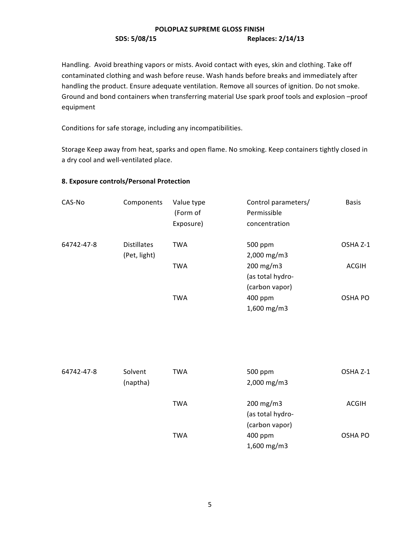Handling. Avoid breathing vapors or mists. Avoid contact with eyes, skin and clothing. Take off contaminated clothing and wash before reuse. Wash hands before breaks and immediately after handling the product. Ensure adequate ventilation. Remove all sources of ignition. Do not smoke. Ground and bond containers when transferring material Use spark proof tools and explosion –proof equipment

Conditions for safe storage, including any incompatibilities.

Storage Keep away from heat, sparks and open flame. No smoking. Keep containers tightly closed in a dry cool and well-ventilated place.

# **8. Exposure controls/Personal Protection**

| CAS-No     | Components         | Value type<br>(Form of | Control parameters/<br>Permissible | <b>Basis</b>   |
|------------|--------------------|------------------------|------------------------------------|----------------|
|            |                    | Exposure)              | concentration                      |                |
| 64742-47-8 | <b>Distillates</b> | <b>TWA</b>             | 500 ppm                            | OSHA Z-1       |
|            | (Pet, light)       |                        | $2,000$ mg/m3                      |                |
|            |                    | <b>TWA</b>             | $200 \text{ mg/m}$ 3               | <b>ACGIH</b>   |
|            |                    |                        | (as total hydro-                   |                |
|            |                    |                        | (carbon vapor)                     |                |
|            |                    | <b>TWA</b>             | $400$ ppm                          | <b>OSHA PO</b> |
|            |                    |                        | $1,600$ mg/m3                      |                |

| 64742-47-8 | Solvent<br>(naptha) | <b>TWA</b> | 500 ppm<br>$2,000$ mg/m3                 | OSHA Z-1 |
|------------|---------------------|------------|------------------------------------------|----------|
|            |                     | <b>TWA</b> | $200 \text{ mg/m}$ 3<br>(as total hydro- | ACGIH    |
|            |                     |            | (carbon vapor)                           |          |
|            |                     | <b>TWA</b> | 400 ppm                                  | OSHA PO  |
|            |                     |            | 1,600 mg/m3                              |          |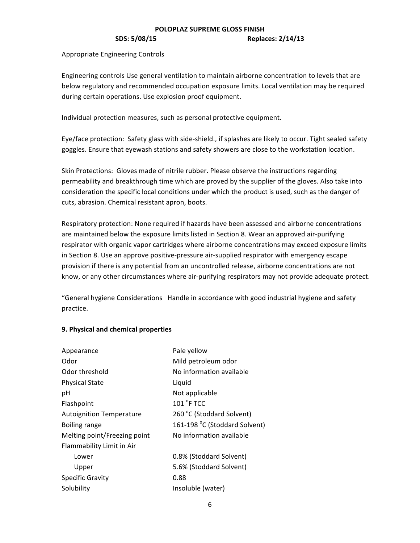## **SDS:** 5/08/15 **Replaces: 2/14/13**

Appropriate Engineering Controls

Engineering controls Use general ventilation to maintain airborne concentration to levels that are below regulatory and recommended occupation exposure limits. Local ventilation may be required during certain operations. Use explosion proof equipment.

Individual protection measures, such as personal protective equipment.

Eye/face protection: Safety glass with side-shield., if splashes are likely to occur. Tight sealed safety goggles. Ensure that eyewash stations and safety showers are close to the workstation location.

Skin Protections: Gloves made of nitrile rubber. Please observe the instructions regarding permeability and breakthrough time which are proved by the supplier of the gloves. Also take into consideration the specific local conditions under which the product is used, such as the danger of cuts, abrasion. Chemical resistant apron, boots.

Respiratory protection: None required if hazards have been assessed and airborne concentrations are maintained below the exposure limits listed in Section 8. Wear an approved air-purifying respirator with organic vapor cartridges where airborne concentrations may exceed exposure limits in Section 8. Use an approve positive-pressure air-supplied respirator with emergency escape provision if there is any potential from an uncontrolled release, airborne concentrations are not know, or any other circumstances where air-purifying respirators may not provide adequate protect.

"General hygiene Considerations Handle in accordance with good industrial hygiene and safety practice.

# **9. Physical and chemical properties**

| Appearance                      | Pale yellow                   |
|---------------------------------|-------------------------------|
| Odor                            | Mild petroleum odor           |
| Odor threshold                  | No information available      |
| <b>Physical State</b>           | Liquid                        |
| рH                              | Not applicable                |
| Flashpoint                      | 101 <sup>°</sup> F TCC        |
| <b>Autoignition Temperature</b> | 260 °C (Stoddard Solvent)     |
| Boiling range                   | 161-198 °C (Stoddard Solvent) |
| Melting point/Freezing point    | No information available      |
| Flammability Limit in Air       |                               |
| Lower                           | 0.8% (Stoddard Solvent)       |
| Upper                           | 5.6% (Stoddard Solvent)       |
| <b>Specific Gravity</b>         | 0.88                          |
| Solubility                      | Insoluble (water)             |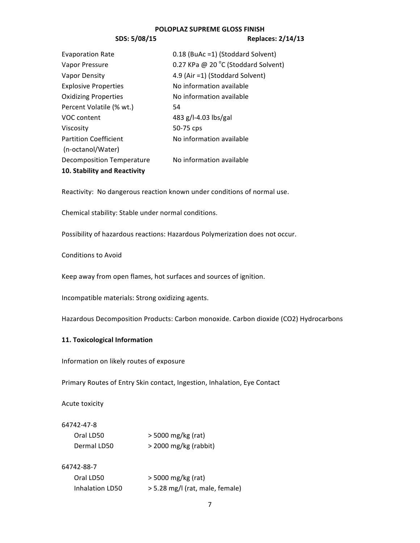## **SDS: 5/08/15 Replaces: 2/14/13**

| <b>Evaporation Rate</b>      | 0.18 (BuAc =1) (Stoddard Solvent)   |
|------------------------------|-------------------------------------|
| Vapor Pressure               | 0.27 KPa @ 20 °C (Stoddard Solvent) |
| Vapor Density                | 4.9 (Air =1) (Stoddard Solvent)     |
| <b>Explosive Properties</b>  | No information available            |
| <b>Oxidizing Properties</b>  | No information available            |
| Percent Volatile (% wt.)     | 54                                  |
| VOC content                  | 483 g/l-4.03 lbs/gal                |
| Viscosity                    | 50-75 cps                           |
| <b>Partition Coefficient</b> | No information available            |
| (n-octanol/Water)            |                                     |
| Decomposition Temperature    | No information available            |
| 10. Stability and Reactivity |                                     |

Reactivity: No dangerous reaction known under conditions of normal use.

Chemical stability: Stable under normal conditions.

Possibility of hazardous reactions: Hazardous Polymerization does not occur.

## Conditions to Avoid

Keep away from open flames, hot surfaces and sources of ignition.

Incompatible materials: Strong oxidizing"agents.

Hazardous Decomposition Products: Carbon monoxide. Carbon dioxide (CO2) Hydrocarbons

## **11. Toxicological Information**

Information on likely routes of exposure

Primary Routes of Entry Skin contact, Ingestion, Inhalation, Eye Contact

Acute toxicity

## 64742-47-8

| Oral LD50   | $>$ 5000 mg/kg (rat)    |
|-------------|-------------------------|
| Dermal LD50 | $>$ 2000 mg/kg (rabbit) |

## 64742-88-7

| Oral LD50       | $>$ 5000 mg/kg (rat)            |
|-----------------|---------------------------------|
| Inhalation LD50 | > 5.28 mg/l (rat, male, female) |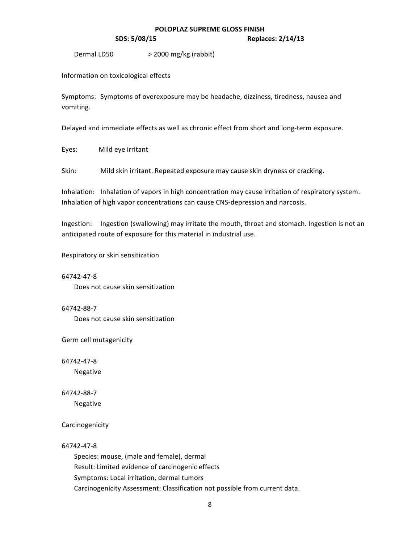**SDS:** 5/08/15 **Replaces: 2/14/13** 

Dermal LD50 > 2000 mg/kg (rabbit)

Information on toxicological effects

Symptoms: Symptoms of overexposure may be headache, dizziness, tiredness, nausea and vomiting.

Delayed and immediate effects as well as chronic effect from short and long-term exposure.

Eyes: Mild eye irritant

Skin: Mild skin irritant. Repeated exposure may cause skin dryness or cracking.

Inhalation: Inhalation of vapors in high concentration may cause irritation of respiratory system. Inhalation of high vapor concentrations can cause CNS-depression and narcosis.

Ingestion: Ingestion (swallowing) may irritate the mouth, throat and stomach. Ingestion is not an anticipated route of exposure for this material in industrial use.

Respiratory or skin sensitization

64742-47-8 Does not cause skin sensitization

64742-88-7 Does not cause skin sensitization

Germ cell mutagenicity

64742-47-8

Negative

64742-88-7 Negative

Carcinogenicity

64742-47-8

Species: mouse, (male and female), dermal Result: Limited evidence of carcinogenic effects Symptoms: Local irritation, dermal tumors Carcinogenicity Assessment: Classification not possible from current data.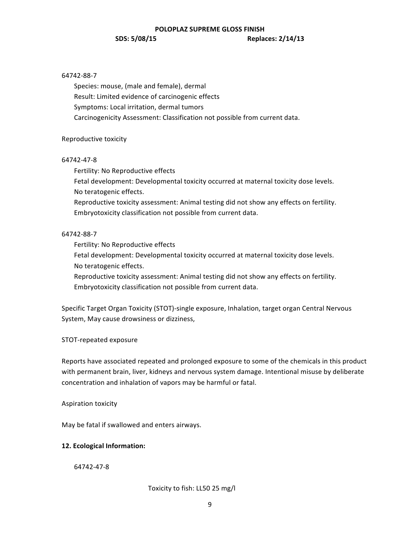# 64742-88-7

Species: mouse, (male and female), dermal Result: Limited evidence of carcinogenic effects Symptoms: Local irritation, dermal tumors Carcinogenicity Assessment: Classification not possible from current data.

## Reproductive toxicity

## 64742-47-8

Fertility: No Reproductive effects

Fetal development: Developmental toxicity occurred at maternal toxicity dose levels. No teratogenic effects.

Reproductive toxicity assessment: Animal testing did not show any effects on fertility. Embryotoxicity classification not possible from current data.

# 64742-88-7

Fertility: No Reproductive effects

Fetal development: Developmental toxicity occurred at maternal toxicity dose levels. No teratogenic effects.

Reproductive toxicity assessment: Animal testing did not show any effects on fertility. Embryotoxicity classification not possible from current data.

Specific Target Organ Toxicity (STOT)-single exposure, Inhalation, target organ Central Nervous System, May cause drowsiness or dizziness,

STOT-repeated exposure

Reports have associated repeated and prolonged exposure to some of the chemicals in this product with permanent brain, liver, kidneys and nervous system damage. Intentional misuse by deliberate concentration and inhalation of vapors may be harmful or fatal.

Aspiration toxicity

May be fatal if swallowed and enters airways.

# **12. Ecological Information:**

64742-47-8

Toxicity to fish: LL50 25 mg/l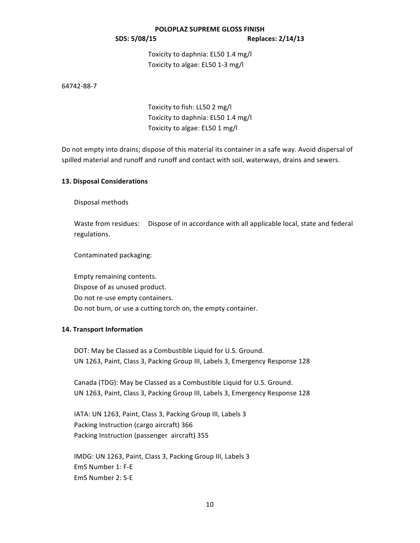Toxicity to daphnia: EL50 1.4 mg/l Toxicity to algae: EL50 1-3 mg/l

64742-88-7

Toxicity to fish: LL50 2 mg/l Toxicity to daphnia: EL50 1.4 mg/l Toxicity to algae: EL50 1 mg/l

Do not empty into drains; dispose of this material its container in a safe way. Avoid dispersal of spilled material and runoff and runoff and contact with soil, waterways, drains and sewers.

## **13. Disposal Considerations**

Disposal methods

Waste from residues: Dispose of in accordance with all applicable local, state and federal regulations.

Contaminated packaging:

Empty remaining contents. Dispose of as unused product. Do not re-use empty containers. Do not burn, or use a cutting torch on, the empty container.

## **14. Transport Information**

DOT: May be Classed as a Combustible Liquid for U.S. Ground. UN 1263, Paint, Class 3, Packing Group III, Labels 3, Emergency Response 128

Canada (TDG): May be Classed as a Combustible Liquid for U.S. Ground. UN 1263, Paint, Class 3, Packing Group III, Labels 3, Emergency Response 128

IATA: UN 1263, Paint, Class 3, Packing Group III, Labels 3 Packing Instruction (cargo aircraft) 366 Packing Instruction (passenger aircraft) 355

IMDG: UN 1263, Paint, Class 3, Packing Group III, Labels 3 EmS Number 1: F-E EmS Number 2: S-E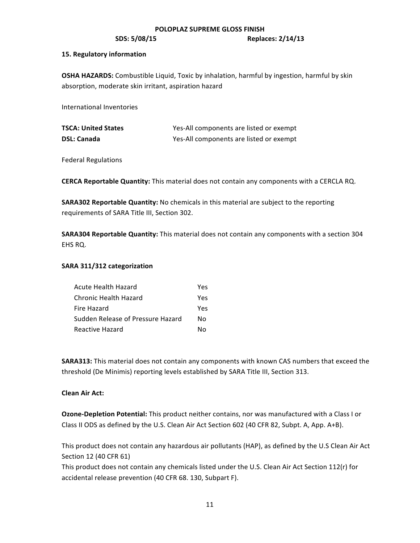**SDS:** 5/08/15 **Replaces: 2/14/13** 

## **15. Regulatory information**

**OSHA HAZARDS:** Combustible Liquid, Toxic by inhalation, harmful by ingestion, harmful by skin absorption, moderate skin irritant, aspiration hazard

International Inventories

| <b>TSCA: United States</b> | Yes-All components are listed or exempt |
|----------------------------|-----------------------------------------|
| <b>DSL: Canada</b>         | Yes-All components are listed or exempt |

**Federal Regulations** 

CERCA Reportable Quantity: This material does not contain any components with a CERCLA RQ.

**SARA302 Reportable Quantity:** No chemicals in this material are subject to the reporting requirements of SARA Title III, Section 302.

**SARA304 Reportable Quantity:** This material does not contain any components with a section 304 EHS RQ.

# SARA 311/312 categorization

| Acute Health Hazard               | Yes |
|-----------------------------------|-----|
| Chronic Health Hazard             | Yes |
| Fire Hazard                       | Yes |
| Sudden Release of Pressure Hazard | N٥  |
| Reactive Hazard                   | N٥  |

**SARA313:** This material does not contain any components with known CAS numbers that exceed the threshold (De Minimis) reporting levels established by SARA Title III, Section 313.

# **Clean Air Act:**

**Ozone-Depletion Potential:** This product neither contains, nor was manufactured with a Class I or Class II ODS as defined by the U.S. Clean Air Act Section 602 (40 CFR 82, Subpt. A, App. A+B).

This product does not contain any hazardous air pollutants (HAP), as defined by the U.S Clean Air Act Section 12 (40 CFR 61)

This product does not contain any chemicals listed under the U.S. Clean Air Act Section 112(r) for accidental release prevention (40 CFR 68. 130, Subpart F).